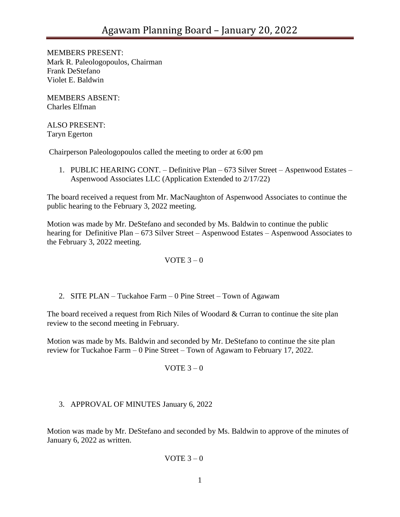MEMBERS PRESENT: Mark R. Paleologopoulos, Chairman Frank DeStefano Violet E. Baldwin

MEMBERS ABSENT: Charles Elfman

ALSO PRESENT: Taryn Egerton

Chairperson Paleologopoulos called the meeting to order at 6:00 pm

1. PUBLIC HEARING CONT. – Definitive Plan – 673 Silver Street – Aspenwood Estates – Aspenwood Associates LLC (Application Extended to 2/17/22)

The board received a request from Mr. MacNaughton of Aspenwood Associates to continue the public hearing to the February 3, 2022 meeting.

Motion was made by Mr. DeStefano and seconded by Ms. Baldwin to continue the public hearing for Definitive Plan – 673 Silver Street – Aspenwood Estates – Aspenwood Associates to the February 3, 2022 meeting.

## VOTE  $3-0$

2. SITE PLAN – Tuckahoe Farm – 0 Pine Street – Town of Agawam

The board received a request from Rich Niles of Woodard & Curran to continue the site plan review to the second meeting in February.

Motion was made by Ms. Baldwin and seconded by Mr. DeStefano to continue the site plan review for Tuckahoe Farm – 0 Pine Street – Town of Agawam to February 17, 2022.

VOTE  $3 - 0$ 

## 3. APPROVAL OF MINUTES January 6, 2022

Motion was made by Mr. DeStefano and seconded by Ms. Baldwin to approve of the minutes of January 6, 2022 as written.

VOTE  $3 - 0$